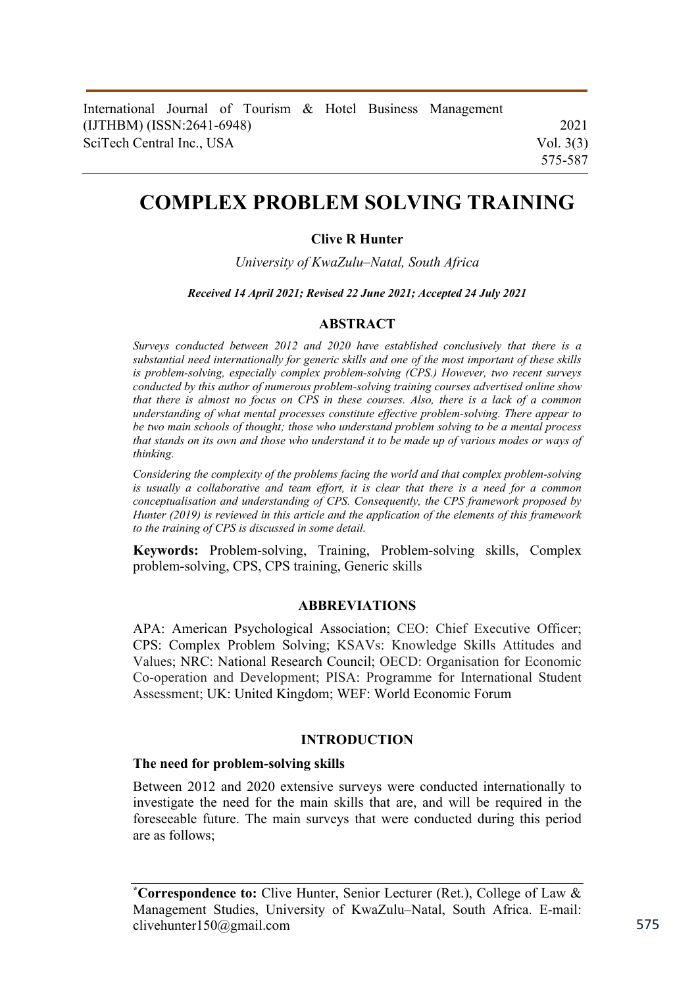|                           |  |  |  |  |  |  | International Journal of Tourism & Hotel Business Management |             |
|---------------------------|--|--|--|--|--|--|--------------------------------------------------------------|-------------|
| (IJTHBM) (ISSN:2641-6948) |  |  |  |  |  |  |                                                              | 2021        |
| SciTech Central Inc., USA |  |  |  |  |  |  |                                                              | Vol. $3(3)$ |
|                           |  |  |  |  |  |  |                                                              | 575-587     |

# **COMPLEX PROBLEM SOLVING TRAINING**

# **Clive R Hunter**

*University of KwaZulu–Natal, South Africa* 

*Received 14 April 2021; Revised 22 June 2021; Accepted 24 July 2021* 

#### **ABSTRACT**

*Surveys conducted between 2012 and 2020 have established conclusively that there is a substantial need internationally for generic skills and one of the most important of these skills is problem-solving, especially complex problem-solving (CPS.) However, two recent surveys conducted by this author of numerous problem-solving training courses advertised online show that there is almost no focus on CPS in these courses. Also, there is a lack of a common understanding of what mental processes constitute effective problem-solving. There appear to be two main schools of thought; those who understand problem solving to be a mental process that stands on its own and those who understand it to be made up of various modes or ways of thinking.* 

*Considering the complexity of the problems facing the world and that complex problem-solving is usually a collaborative and team effort, it is clear that there is a need for a common conceptualisation and understanding of CPS. Consequently, the CPS framework proposed by Hunter (2019) is reviewed in this article and the application of the elements of this framework to the training of CPS is discussed in some detail.* 

**Keywords:** Problem-solving, Training, Problem-solving skills, Complex problem-solving, CPS, CPS training, Generic skills

#### **ABBREVIATIONS**

APA: American Psychological Association; CEO: Chief Executive Officer; CPS: Complex Problem Solving; KSAVs: Knowledge Skills Attitudes and Values; NRC: National Research Council; OECD: Organisation for Economic Co-operation and Development; PISA: Programme for International Student Assessment; UK: United Kingdom; WEF: World Economic Forum

#### **INTRODUCTION**

#### **The need for problem-solving skills**

Between 2012 and 2020 extensive surveys were conducted internationally to investigate the need for the main skills that are, and will be required in the foreseeable future. The main surveys that were conducted during this period are as follows;

**<sup>\*</sup>Correspondence to:** Clive Hunter, Senior Lecturer (Ret.), College of Law & Management Studies, University of KwaZulu–Natal, South Africa. E-mail: clivehunter150@gmail.com 575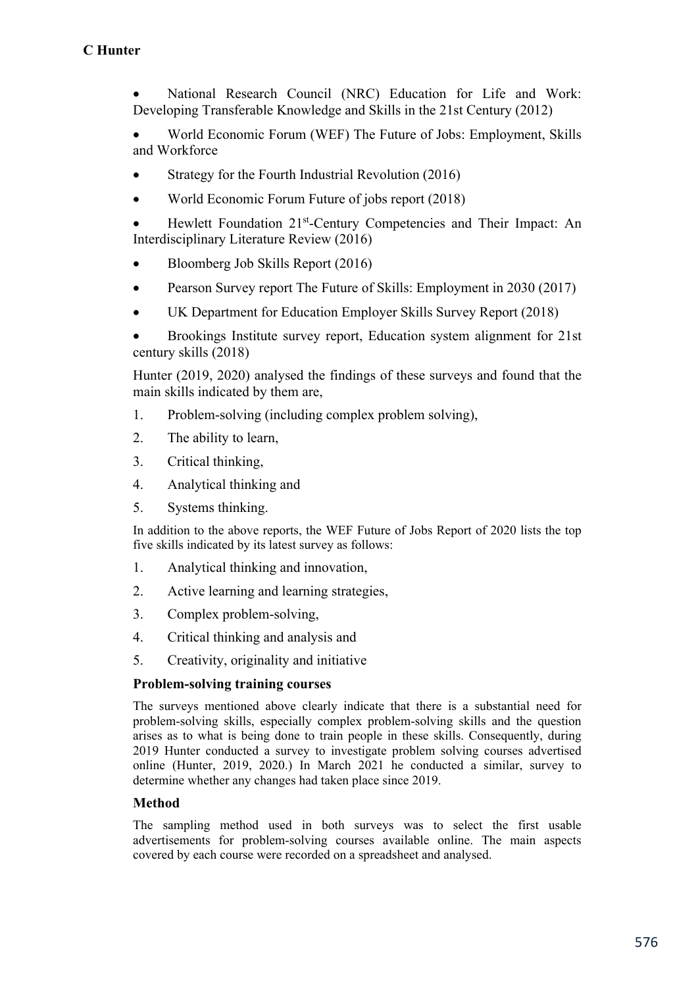National Research Council (NRC) Education for Life and Work: Developing Transferable Knowledge and Skills in the 21st Century (2012)

 World Economic Forum (WEF) The Future of Jobs: Employment, Skills and Workforce

- Strategy for the Fourth Industrial Revolution (2016)
- World Economic Forum Future of jobs report (2018)
- Hewlett Foundation 21<sup>st</sup>-Century Competencies and Their Impact: An Interdisciplinary Literature Review (2016)
- Bloomberg Job Skills Report (2016)
- Pearson Survey report The Future of Skills: Employment in 2030 (2017)
- UK Department for Education Employer Skills Survey Report (2018)
- Brookings Institute survey report, Education system alignment for 21st century skills (2018)

Hunter (2019, 2020) analysed the findings of these surveys and found that the main skills indicated by them are,

- 1. Problem-solving (including complex problem solving),
- 2. The ability to learn,
- 3. Critical thinking,
- 4. Analytical thinking and
- 5. Systems thinking.

In addition to the above reports, the WEF Future of Jobs Report of 2020 lists the top five skills indicated by its latest survey as follows:

- 1. Analytical thinking and innovation,
- 2. Active learning and learning strategies,
- 3. Complex problem-solving,
- 4. Critical thinking and analysis and
- 5. Creativity, originality and initiative

## **Problem-solving training courses**

The surveys mentioned above clearly indicate that there is a substantial need for problem-solving skills, especially complex problem-solving skills and the question arises as to what is being done to train people in these skills. Consequently, during 2019 Hunter conducted a survey to investigate problem solving courses advertised online (Hunter, 2019, 2020.) In March 2021 he conducted a similar, survey to determine whether any changes had taken place since 2019.

## **Method**

The sampling method used in both surveys was to select the first usable advertisements for problem-solving courses available online. The main aspects covered by each course were recorded on a spreadsheet and analysed.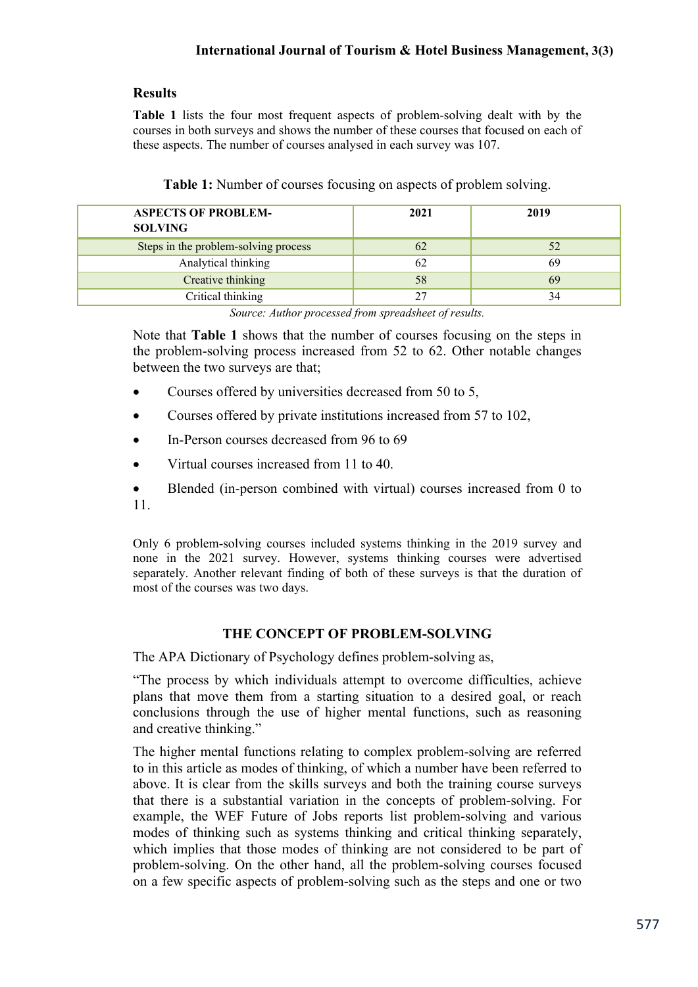# **Results**

**Table 1** lists the four most frequent aspects of problem-solving dealt with by the courses in both surveys and shows the number of these courses that focused on each of these aspects. The number of courses analysed in each survey was 107.

| <b>ASPECTS OF PROBLEM-</b><br><b>SOLVING</b> | 2021 | 2019 |
|----------------------------------------------|------|------|
| Steps in the problem-solving process         | 62   | 52   |
| Analytical thinking                          |      | 69   |
| Creative thinking                            | 58   | 69   |
| Critical thinking                            |      | 34   |

| Table 1: Number of courses focusing on aspects of problem solving. |  |  |  |  |  |  |  |
|--------------------------------------------------------------------|--|--|--|--|--|--|--|
|                                                                    |  |  |  |  |  |  |  |

*Source: Author processed from spreadsheet of results.* 

Note that **Table 1** shows that the number of courses focusing on the steps in the problem-solving process increased from 52 to 62. Other notable changes between the two surveys are that;

- Courses offered by universities decreased from 50 to 5,
- Courses offered by private institutions increased from 57 to 102,
- In-Person courses decreased from 96 to 69
- Virtual courses increased from 11 to 40.
- Blended (in-person combined with virtual) courses increased from 0 to 11.

Only 6 problem-solving courses included systems thinking in the 2019 survey and none in the 2021 survey. However, systems thinking courses were advertised separately. Another relevant finding of both of these surveys is that the duration of most of the courses was two days.

# **THE CONCEPT OF PROBLEM-SOLVING**

The APA Dictionary of Psychology defines problem-solving as,

"The process by which individuals attempt to overcome difficulties, achieve plans that move them from a starting situation to a desired goal, or reach conclusions through the use of higher mental functions, such as reasoning and creative thinking."

The higher mental functions relating to complex problem-solving are referred to in this article as modes of thinking, of which a number have been referred to above. It is clear from the skills surveys and both the training course surveys that there is a substantial variation in the concepts of problem-solving. For example, the WEF Future of Jobs reports list problem-solving and various modes of thinking such as systems thinking and critical thinking separately, which implies that those modes of thinking are not considered to be part of problem-solving. On the other hand, all the problem-solving courses focused on a few specific aspects of problem-solving such as the steps and one or two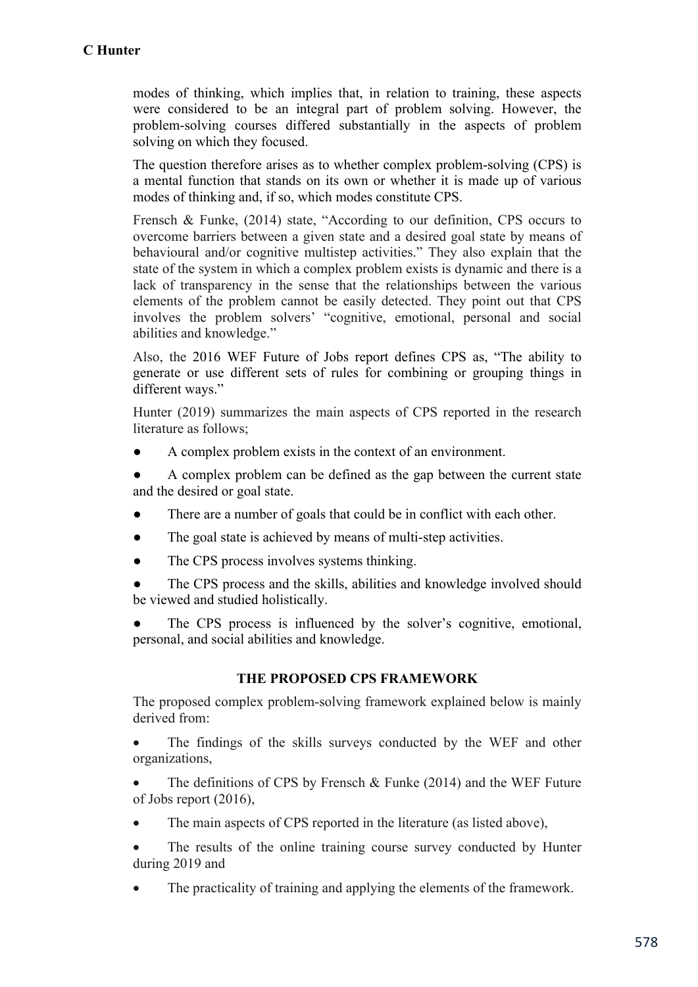modes of thinking, which implies that, in relation to training, these aspects were considered to be an integral part of problem solving. However, the problem-solving courses differed substantially in the aspects of problem solving on which they focused.

The question therefore arises as to whether complex problem-solving (CPS) is a mental function that stands on its own or whether it is made up of various modes of thinking and, if so, which modes constitute CPS.

Frensch & Funke, (2014) state, "According to our definition, CPS occurs to overcome barriers between a given state and a desired goal state by means of behavioural and/or cognitive multistep activities." They also explain that the state of the system in which a complex problem exists is dynamic and there is a lack of transparency in the sense that the relationships between the various elements of the problem cannot be easily detected. They point out that CPS involves the problem solvers' "cognitive, emotional, personal and social abilities and knowledge."

Also, the 2016 WEF Future of Jobs report defines CPS as, "The ability to generate or use different sets of rules for combining or grouping things in different ways."

Hunter (2019) summarizes the main aspects of CPS reported in the research literature as follows;

A complex problem exists in the context of an environment.

A complex problem can be defined as the gap between the current state and the desired or goal state.

- There are a number of goals that could be in conflict with each other.
- The goal state is achieved by means of multi-step activities.
- The CPS process involves systems thinking.
- The CPS process and the skills, abilities and knowledge involved should be viewed and studied holistically.

The CPS process is influenced by the solver's cognitive, emotional, personal, and social abilities and knowledge.

## **THE PROPOSED CPS FRAMEWORK**

The proposed complex problem-solving framework explained below is mainly derived from:

 The findings of the skills surveys conducted by the WEF and other organizations,

 The definitions of CPS by Frensch & Funke (2014) and the WEF Future of Jobs report (2016),

- The main aspects of CPS reported in the literature (as listed above),
- The results of the online training course survey conducted by Hunter during 2019 and
- The practicality of training and applying the elements of the framework.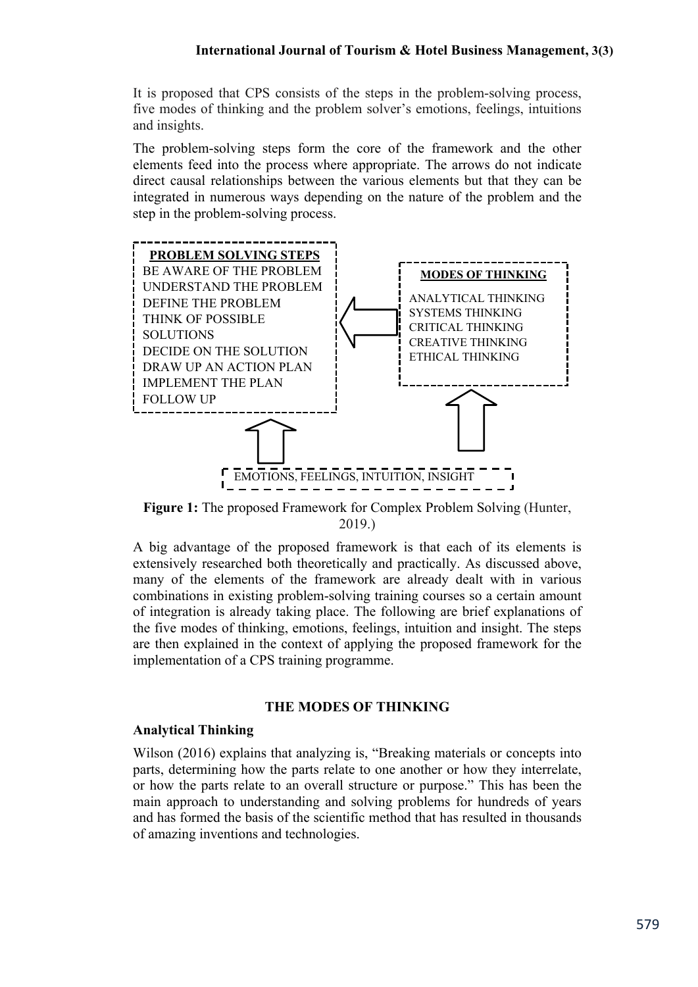It is proposed that CPS consists of the steps in the problem-solving process, five modes of thinking and the problem solver's emotions, feelings, intuitions and insights.

The problem-solving steps form the core of the framework and the other elements feed into the process where appropriate. The arrows do not indicate direct causal relationships between the various elements but that they can be integrated in numerous ways depending on the nature of the problem and the step in the problem-solving process.



**Figure 1:** The proposed Framework for Complex Problem Solving (Hunter, 2019.)

A big advantage of the proposed framework is that each of its elements is extensively researched both theoretically and practically. As discussed above, many of the elements of the framework are already dealt with in various combinations in existing problem-solving training courses so a certain amount of integration is already taking place. The following are brief explanations of the five modes of thinking, emotions, feelings, intuition and insight. The steps are then explained in the context of applying the proposed framework for the implementation of a CPS training programme.

#### **THE MODES OF THINKING**

#### **Analytical Thinking**

Wilson (2016) explains that analyzing is, "Breaking materials or concepts into parts, determining how the parts relate to one another or how they interrelate, or how the parts relate to an overall structure or purpose." This has been the main approach to understanding and solving problems for hundreds of years and has formed the basis of the scientific method that has resulted in thousands of amazing inventions and technologies.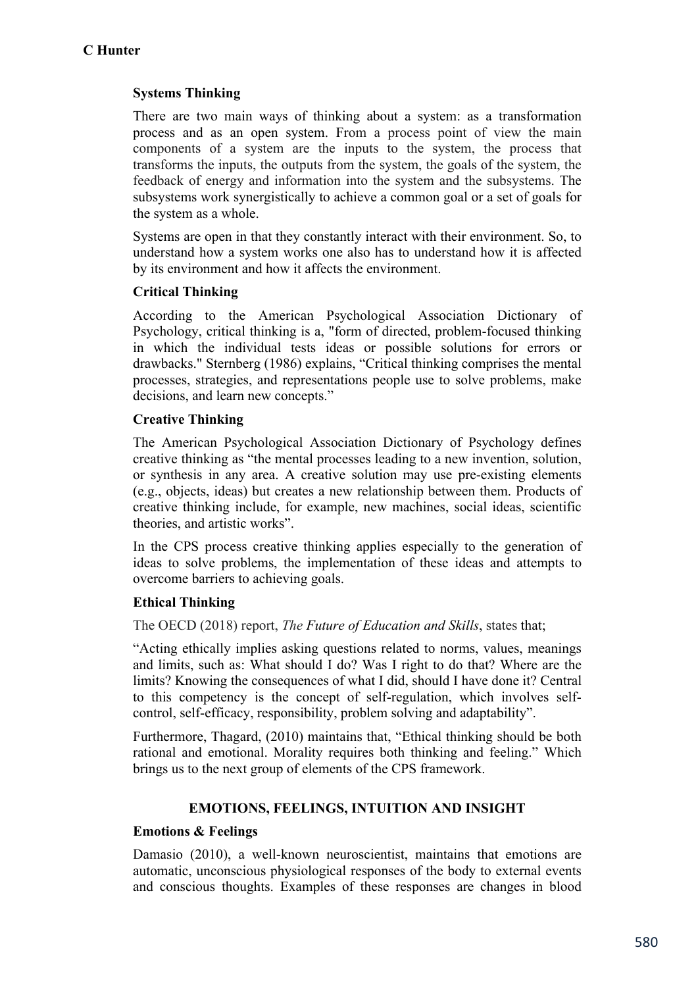# **Systems Thinking**

There are two main ways of thinking about a system: as a transformation process and as an open system. From a process point of view the main components of a system are the inputs to the system, the process that transforms the inputs, the outputs from the system, the goals of the system, the feedback of energy and information into the system and the subsystems. The subsystems work synergistically to achieve a common goal or a set of goals for the system as a whole.

Systems are open in that they constantly interact with their environment. So, to understand how a system works one also has to understand how it is affected by its environment and how it affects the environment.

# **Critical Thinking**

According to the American Psychological Association Dictionary of Psychology, critical thinking is a, "form of directed, problem-focused thinking in which the individual tests ideas or possible solutions for errors or drawbacks." Sternberg (1986) explains, "Critical thinking comprises the mental processes, strategies, and representations people use to solve problems, make decisions, and learn new concepts."

## **Creative Thinking**

The American Psychological Association Dictionary of Psychology defines creative thinking as "the mental processes leading to a new invention, solution, or synthesis in any area. A creative solution may use pre-existing elements (e.g., objects, ideas) but creates a new relationship between them. Products of creative thinking include, for example, new machines, social ideas, scientific theories, and artistic works".

In the CPS process creative thinking applies especially to the generation of ideas to solve problems, the implementation of these ideas and attempts to overcome barriers to achieving goals.

# **Ethical Thinking**

The OECD (2018) report, *The Future of Education and Skills*, states that;

"Acting ethically implies asking questions related to norms, values, meanings and limits, such as: What should I do? Was I right to do that? Where are the limits? Knowing the consequences of what I did, should I have done it? Central to this competency is the concept of self-regulation, which involves selfcontrol, self-efficacy, responsibility, problem solving and adaptability".

Furthermore, Thagard, (2010) maintains that, "Ethical thinking should be both rational and emotional. Morality requires both thinking and feeling." Which brings us to the next group of elements of the CPS framework.

## **EMOTIONS, FEELINGS, INTUITION AND INSIGHT**

## **Emotions & Feelings**

Damasio (2010), a well-known neuroscientist, maintains that emotions are automatic, unconscious physiological responses of the body to external events and conscious thoughts. Examples of these responses are changes in blood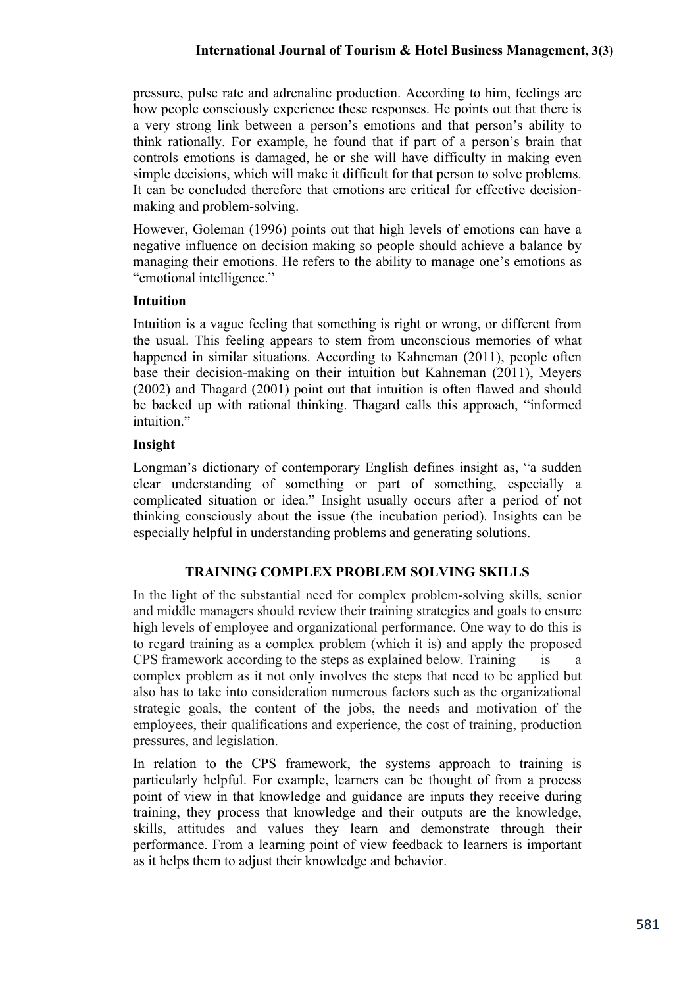pressure, pulse rate and adrenaline production. According to him, feelings are how people consciously experience these responses. He points out that there is a very strong link between a person's emotions and that person's ability to think rationally. For example, he found that if part of a person's brain that controls emotions is damaged, he or she will have difficulty in making even simple decisions, which will make it difficult for that person to solve problems. It can be concluded therefore that emotions are critical for effective decisionmaking and problem-solving.

However, Goleman (1996) points out that high levels of emotions can have a negative influence on decision making so people should achieve a balance by managing their emotions. He refers to the ability to manage one's emotions as "emotional intelligence."

# **Intuition**

Intuition is a vague feeling that something is right or wrong, or different from the usual. This feeling appears to stem from unconscious memories of what happened in similar situations. According to Kahneman (2011), people often base their decision-making on their intuition but Kahneman (2011), Meyers (2002) and Thagard (2001) point out that intuition is often flawed and should be backed up with rational thinking. Thagard calls this approach, "informed intuition."

# **Insight**

Longman's dictionary of contemporary English defines insight as, "a sudden clear understanding of something or part of something, especially a complicated situation or idea." Insight usually occurs after a period of not thinking consciously about the issue (the incubation period). Insights can be especially helpful in understanding problems and generating solutions.

# **TRAINING COMPLEX PROBLEM SOLVING SKILLS**

In the light of the substantial need for complex problem-solving skills, senior and middle managers should review their training strategies and goals to ensure high levels of employee and organizational performance. One way to do this is to regard training as a complex problem (which it is) and apply the proposed CPS framework according to the steps as explained below. Training is a complex problem as it not only involves the steps that need to be applied but also has to take into consideration numerous factors such as the organizational strategic goals, the content of the jobs, the needs and motivation of the employees, their qualifications and experience, the cost of training, production pressures, and legislation.

In relation to the CPS framework, the systems approach to training is particularly helpful. For example, learners can be thought of from a process point of view in that knowledge and guidance are inputs they receive during training, they process that knowledge and their outputs are the knowledge, skills, attitudes and values they learn and demonstrate through their performance. From a learning point of view feedback to learners is important as it helps them to adjust their knowledge and behavior.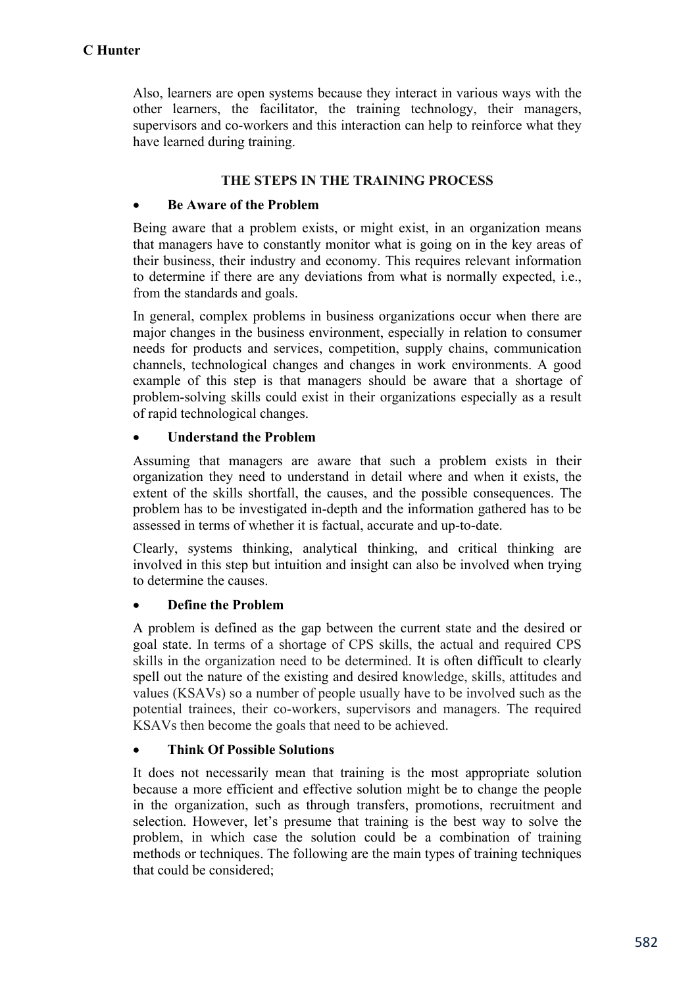Also, learners are open systems because they interact in various ways with the other learners, the facilitator, the training technology, their managers, supervisors and co-workers and this interaction can help to reinforce what they have learned during training.

#### **THE STEPS IN THE TRAINING PROCESS**

#### **Be Aware of the Problem**

Being aware that a problem exists, or might exist, in an organization means that managers have to constantly monitor what is going on in the key areas of their business, their industry and economy. This requires relevant information to determine if there are any deviations from what is normally expected, i.e., from the standards and goals.

In general, complex problems in business organizations occur when there are major changes in the business environment, especially in relation to consumer needs for products and services, competition, supply chains, communication channels, technological changes and changes in work environments. A good example of this step is that managers should be aware that a shortage of problem-solving skills could exist in their organizations especially as a result of rapid technological changes.

#### **Understand the Problem**

Assuming that managers are aware that such a problem exists in their organization they need to understand in detail where and when it exists, the extent of the skills shortfall, the causes, and the possible consequences. The problem has to be investigated in-depth and the information gathered has to be assessed in terms of whether it is factual, accurate and up-to-date.

Clearly, systems thinking, analytical thinking, and critical thinking are involved in this step but intuition and insight can also be involved when trying to determine the causes.

## **Define the Problem**

A problem is defined as the gap between the current state and the desired or goal state. In terms of a shortage of CPS skills, the actual and required CPS skills in the organization need to be determined. It is often difficult to clearly spell out the nature of the existing and desired knowledge, skills, attitudes and values (KSAVs) so a number of people usually have to be involved such as the potential trainees, their co-workers, supervisors and managers. The required KSAVs then become the goals that need to be achieved.

## **Think Of Possible Solutions**

It does not necessarily mean that training is the most appropriate solution because a more efficient and effective solution might be to change the people in the organization, such as through transfers, promotions, recruitment and selection. However, let's presume that training is the best way to solve the problem, in which case the solution could be a combination of training methods or techniques. The following are the main types of training techniques that could be considered;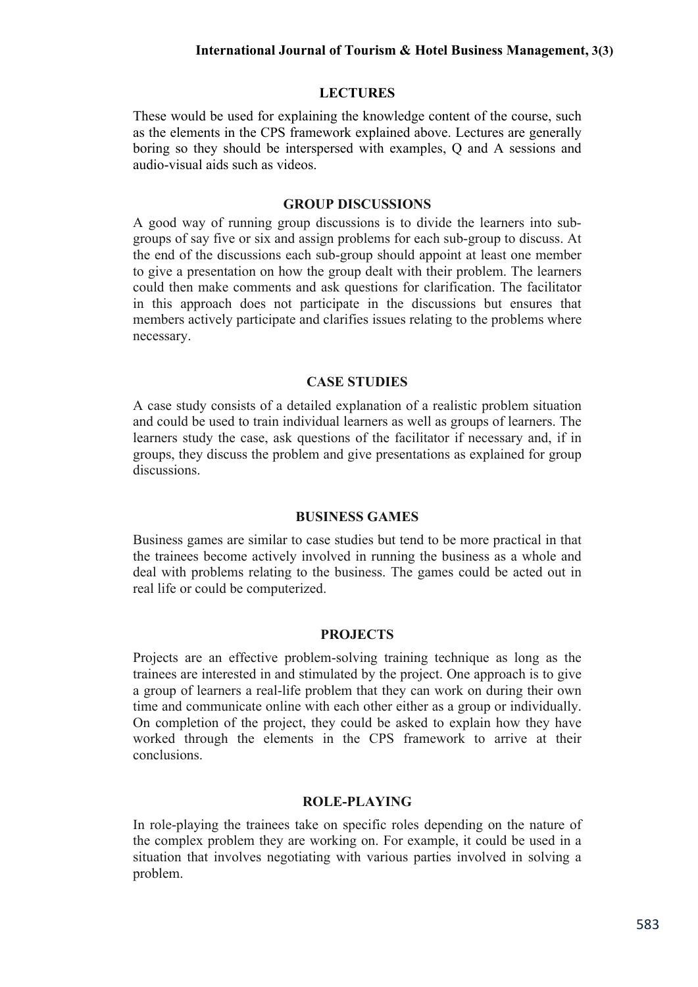# **LECTURES**

These would be used for explaining the knowledge content of the course, such as the elements in the CPS framework explained above. Lectures are generally boring so they should be interspersed with examples, Q and A sessions and audio-visual aids such as videos.

#### **GROUP DISCUSSIONS**

A good way of running group discussions is to divide the learners into subgroups of say five or six and assign problems for each sub-group to discuss. At the end of the discussions each sub-group should appoint at least one member to give a presentation on how the group dealt with their problem. The learners could then make comments and ask questions for clarification. The facilitator in this approach does not participate in the discussions but ensures that members actively participate and clarifies issues relating to the problems where necessary.

#### **CASE STUDIES**

A case study consists of a detailed explanation of a realistic problem situation and could be used to train individual learners as well as groups of learners. The learners study the case, ask questions of the facilitator if necessary and, if in groups, they discuss the problem and give presentations as explained for group discussions.

#### **BUSINESS GAMES**

Business games are similar to case studies but tend to be more practical in that the trainees become actively involved in running the business as a whole and deal with problems relating to the business. The games could be acted out in real life or could be computerized.

#### **PROJECTS**

Projects are an effective problem-solving training technique as long as the trainees are interested in and stimulated by the project. One approach is to give a group of learners a real-life problem that they can work on during their own time and communicate online with each other either as a group or individually. On completion of the project, they could be asked to explain how they have worked through the elements in the CPS framework to arrive at their conclusions.

# **ROLE-PLAYING**

In role-playing the trainees take on specific roles depending on the nature of the complex problem they are working on. For example, it could be used in a situation that involves negotiating with various parties involved in solving a problem.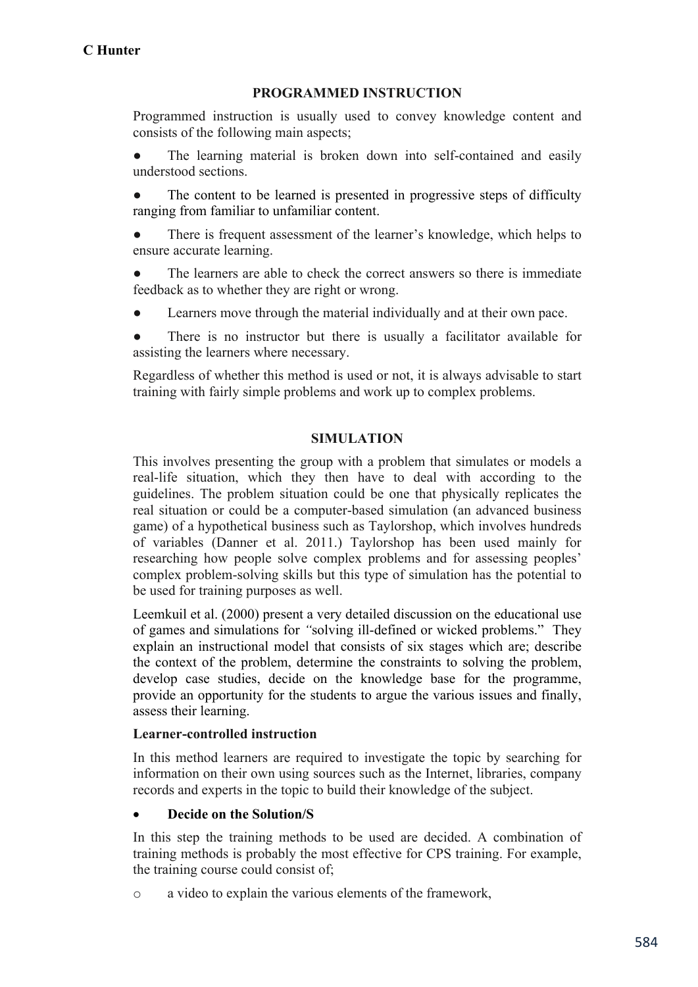# **PROGRAMMED INSTRUCTION**

Programmed instruction is usually used to convey knowledge content and consists of the following main aspects;

The learning material is broken down into self-contained and easily understood sections.

The content to be learned is presented in progressive steps of difficulty ranging from familiar to unfamiliar content.

There is frequent assessment of the learner's knowledge, which helps to ensure accurate learning.

The learners are able to check the correct answers so there is immediate feedback as to whether they are right or wrong.

Learners move through the material individually and at their own pace.

There is no instructor but there is usually a facilitator available for assisting the learners where necessary.

Regardless of whether this method is used or not, it is always advisable to start training with fairly simple problems and work up to complex problems.

# **SIMULATION**

This involves presenting the group with a problem that simulates or models a real-life situation, which they then have to deal with according to the guidelines. The problem situation could be one that physically replicates the real situation or could be a computer-based simulation (an advanced business game) of a hypothetical business such as Taylorshop, which involves hundreds of variables (Danner et al. 2011.) Taylorshop has been used mainly for researching how people solve complex problems and for assessing peoples' complex problem-solving skills but this type of simulation has the potential to be used for training purposes as well.

Leemkuil et al. (2000) present a very detailed discussion on the educational use of games and simulations for *"*solving ill-defined or wicked problems." They explain an instructional model that consists of six stages which are; describe the context of the problem, determine the constraints to solving the problem, develop case studies, decide on the knowledge base for the programme, provide an opportunity for the students to argue the various issues and finally, assess their learning.

## **Learner-controlled instruction**

In this method learners are required to investigate the topic by searching for information on their own using sources such as the Internet, libraries, company records and experts in the topic to build their knowledge of the subject.

## **Decide on the Solution/S**

In this step the training methods to be used are decided. A combination of training methods is probably the most effective for CPS training. For example, the training course could consist of;

o a video to explain the various elements of the framework,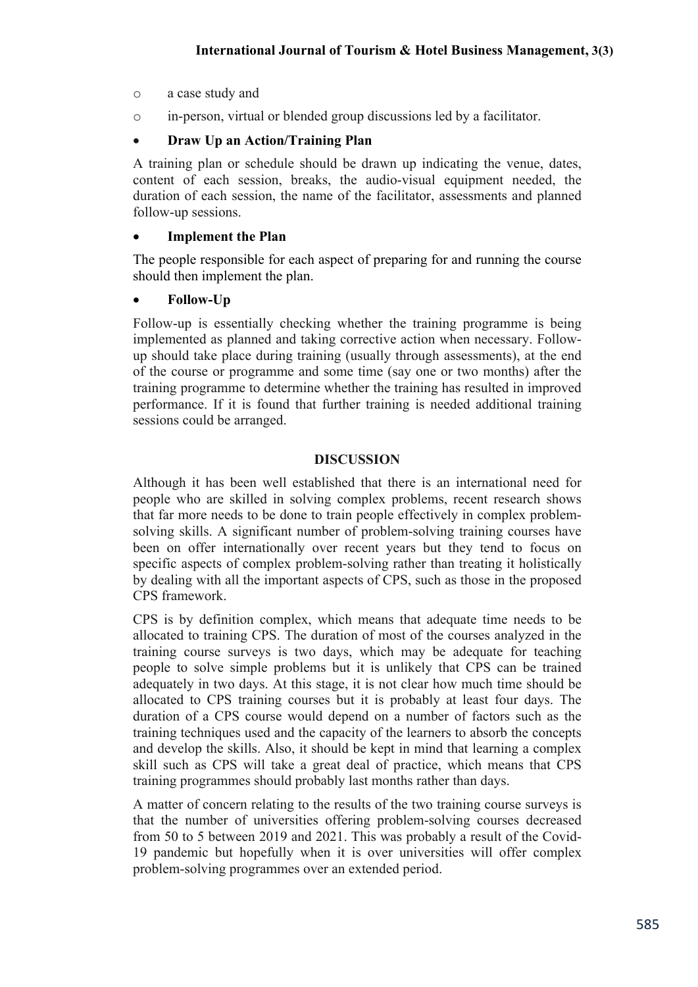- o a case study and
- o in-person, virtual or blended group discussions led by a facilitator.

# **Draw Up an Action/Training Plan**

A training plan or schedule should be drawn up indicating the venue, dates, content of each session, breaks, the audio-visual equipment needed, the duration of each session, the name of the facilitator, assessments and planned follow-up sessions.

# **Implement the Plan**

The people responsible for each aspect of preparing for and running the course should then implement the plan.

# **Follow-Up**

Follow-up is essentially checking whether the training programme is being implemented as planned and taking corrective action when necessary. Followup should take place during training (usually through assessments), at the end of the course or programme and some time (say one or two months) after the training programme to determine whether the training has resulted in improved performance. If it is found that further training is needed additional training sessions could be arranged.

# **DISCUSSION**

Although it has been well established that there is an international need for people who are skilled in solving complex problems, recent research shows that far more needs to be done to train people effectively in complex problemsolving skills. A significant number of problem-solving training courses have been on offer internationally over recent years but they tend to focus on specific aspects of complex problem-solving rather than treating it holistically by dealing with all the important aspects of CPS, such as those in the proposed CPS framework.

CPS is by definition complex, which means that adequate time needs to be allocated to training CPS. The duration of most of the courses analyzed in the training course surveys is two days, which may be adequate for teaching people to solve simple problems but it is unlikely that CPS can be trained adequately in two days. At this stage, it is not clear how much time should be allocated to CPS training courses but it is probably at least four days. The duration of a CPS course would depend on a number of factors such as the training techniques used and the capacity of the learners to absorb the concepts and develop the skills. Also, it should be kept in mind that learning a complex skill such as CPS will take a great deal of practice, which means that CPS training programmes should probably last months rather than days.

A matter of concern relating to the results of the two training course surveys is that the number of universities offering problem-solving courses decreased from 50 to 5 between 2019 and 2021. This was probably a result of the Covid-19 pandemic but hopefully when it is over universities will offer complex problem-solving programmes over an extended period.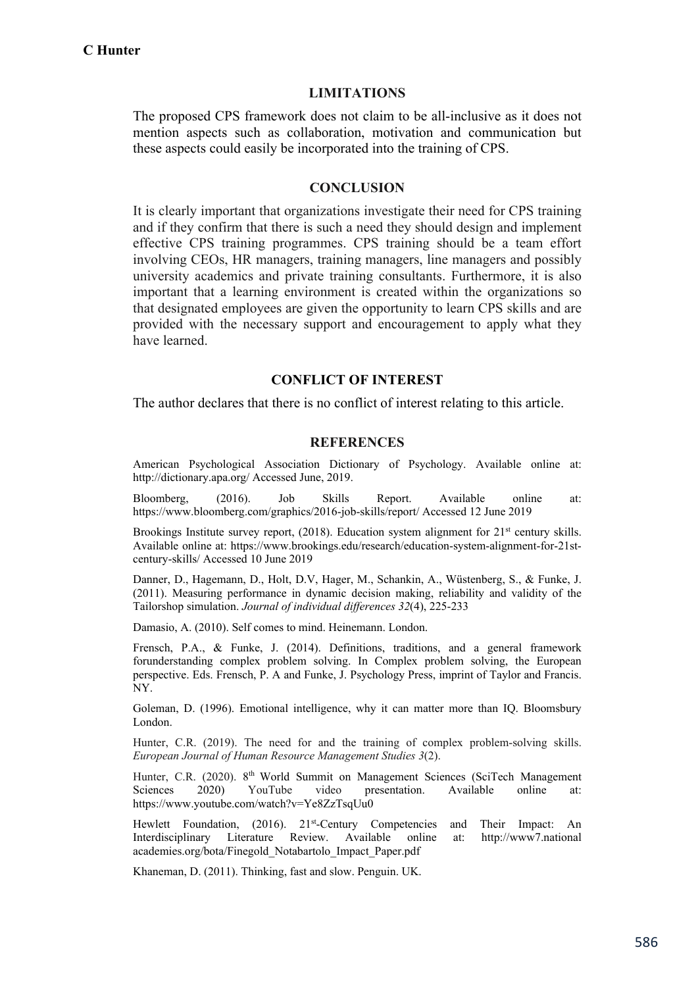#### **LIMITATIONS**

The proposed CPS framework does not claim to be all-inclusive as it does not mention aspects such as collaboration, motivation and communication but these aspects could easily be incorporated into the training of CPS.

#### **CONCLUSION**

It is clearly important that organizations investigate their need for CPS training and if they confirm that there is such a need they should design and implement effective CPS training programmes. CPS training should be a team effort involving CEOs, HR managers, training managers, line managers and possibly university academics and private training consultants. Furthermore, it is also important that a learning environment is created within the organizations so that designated employees are given the opportunity to learn CPS skills and are provided with the necessary support and encouragement to apply what they have learned.

#### **CONFLICT OF INTEREST**

The author declares that there is no conflict of interest relating to this article.

#### **REFERENCES**

American Psychological Association Dictionary of Psychology. Available online at: http://dictionary.apa.org/ Accessed June, 2019.

Bloomberg, (2016). Job Skills Report. Available online at: https://www.bloomberg.com/graphics/2016-job-skills/report/ Accessed 12 June 2019

Brookings Institute survey report,  $(2018)$ . Education system alignment for  $21<sup>st</sup>$  century skills. Available online at: https://www.brookings.edu/research/education-system-alignment-for-21stcentury-skills/ Accessed 10 June 2019

Danner, D., Hagemann, D., Holt, D.V, Hager, M., Schankin, A., Wüstenberg, S., & Funke, J. (2011). Measuring performance in dynamic decision making, reliability and validity of the Tailorshop simulation. *Journal of individual differences 32*(4), 225-233

Damasio, A. (2010). Self comes to mind. Heinemann. London.

Frensch, P.A., & Funke, J. (2014). Definitions, traditions, and a general framework forunderstanding complex problem solving. In Complex problem solving, the European perspective. Eds. Frensch, P. A and Funke, J. Psychology Press, imprint of Taylor and Francis. NY.

Goleman, D. (1996). Emotional intelligence, why it can matter more than IQ. Bloomsbury London.

Hunter, C.R. (2019). The need for and the training of complex problem-solving skills. *European Journal of Human Resource Management Studies 3*(2).

Hunter, C.R. (2020). 8<sup>th</sup> World Summit on Management Sciences (SciTech Management Sciences 2020) YouTube video presentation. Available online at: https://www.youtube.com/watch?v=Ye8ZzTsqUu0

Hewlett Foundation, (2016). 21<sup>st</sup>-Century Competencies and Their Impact: An Interdisciplinary Literature Review. Available online at: http://www7.national academies.org/bota/Finegold\_Notabartolo\_Impact\_Paper.pdf

Khaneman, D. (2011). Thinking, fast and slow. Penguin. UK.